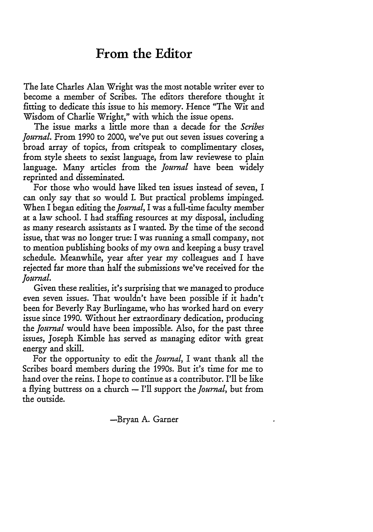## **From the Editor**

The late Charles Alan Wright was the most notable writer ever to become a member of Scribes. The editors therefore thought it fitting to dedicate this issue to his memory. Hence "The Wit and Wisdom of Charlie Wright," with which the issue opens.

The issue marks a little more than a decade for the *Scribes Journal.* From 1990 to 2000, we've put out seven issues covering a broad array of topics, from critspeak to complimentary closes, from style sheets to sexist language, from law reviewese to plain language. Many articles from the *Journal* have been widely reprinted and disseminated.

For those who would have liked ten issues instead of seven, I can only say that so would I. But practical problems impinged. When I began editing *the Journal,* I was a full-time faculty member at a law school. I had staffing resources at my disposal, including as many research assistants as I wanted. By the time of the second issue, that was no longer true: I was running a small company, not to mention publishing books of my own and keeping a busy travel schedule. Meanwhile, year after year my colleagues and I have rejected far more than half the submissions we've received for the Journal.

Given these realities, it's surprising that we managed to produce even seven issues. That wouldn't have been possible if it hadn't been for Beverly Ray Burlingame, who has worked hard on every issue since 1990. Without her extraordinary dedication, producing *the Journal* would have been impossible. Also, for the past three issues, Joseph Kimble has served as managing editor with great energy and skill.

For the opportunity to edit the *Journal,* I want thank all the Scribes board members during the 1990s. But it's time for me to hand over the reins. I hope to continue as a contributor. I'll be like a flying buttress on a church - I'll support the *Journal,* but from the outside.

-Bryan A. Garner